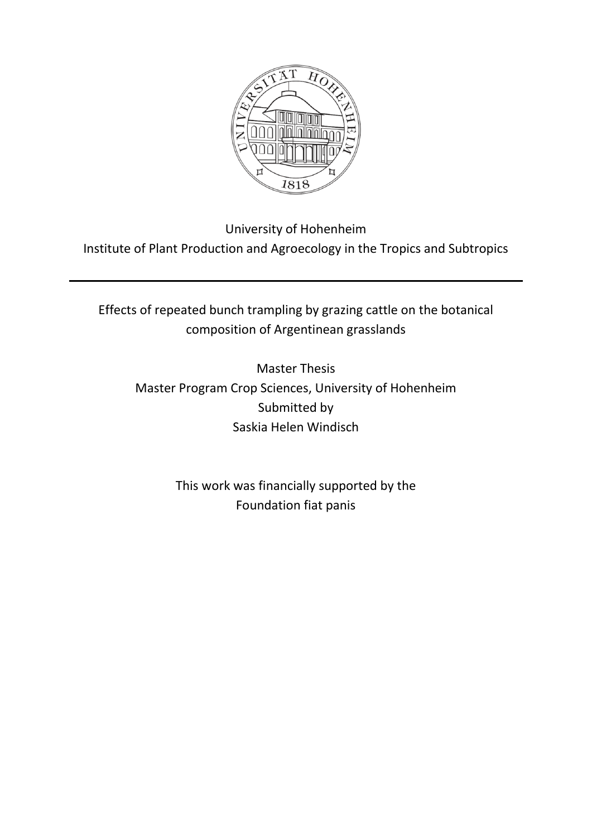

University of Hohenheim Institute of Plant Production and Agroecology in the Tropics and Subtropics

Effects of repeated bunch trampling by grazing cattle on the botanical composition of Argentinean grasslands

Master Thesis Master Program Crop Sciences, University of Hohenheim Submitted by Saskia Helen Windisch

> This work was financially supported by the Foundation fiat panis